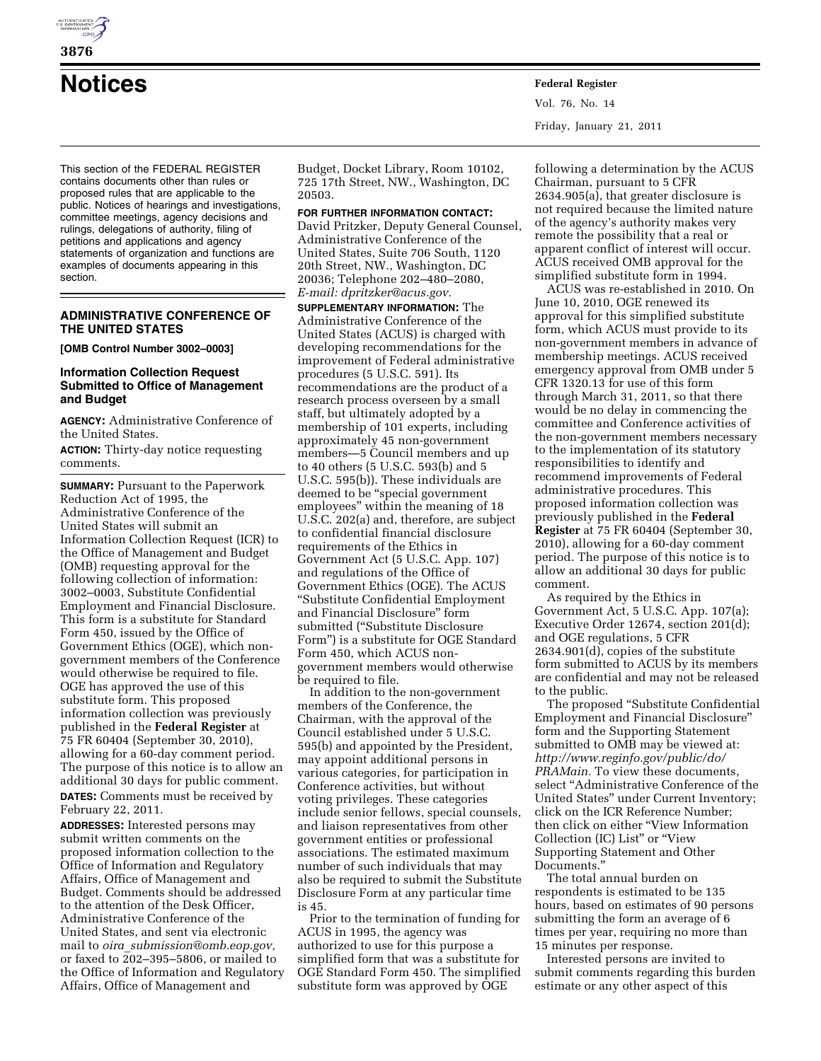

**Notices Federal Register**

This section of the FEDERAL REGISTER contains documents other than rules or proposed rules that are applicable to the public. Notices of hearings and investigations, committee meetings, agency decisions and rulings, delegations of authority, filing of petitions and applications and agency statements of organization and functions are examples of documents appearing in this section.

### **ADMINISTRATIVE CONFERENCE OF THE UNITED STATES**

**[OMB Control Number 3002–0003]** 

# **Information Collection Request Submitted to Office of Management and Budget**

**AGENCY:** Administrative Conference of the United States.

**ACTION:** Thirty-day notice requesting comments.

**SUMMARY: Pursuant to the Paperwork** Reduction Act of 1995, the Administrative Conference of the United States will submit an Information Collection Request (ICR) to the Office of Management and Budget (OMB) requesting approval for the following collection of information: 3002–0003, Substitute Confidential Employment and Financial Disclosure. This form is a substitute for Standard Form 450, issued by the Office of Government Ethics (OGE), which nongovernment members of the Conference would otherwise be required to file. OGE has approved the use of this substitute form. This proposed information collection was previously published in the **Federal Register** at 75 FR 60404 (September 30, 2010), allowing for a 60-day comment period. The purpose of this notice is to allow an additional 30 days for public comment. **DATES:** Comments must be received by February 22, 2011.

**ADDRESSES:** Interested persons may submit written comments on the proposed information collection to the Office of Information and Regulatory Affairs, Office of Management and Budget. Comments should be addressed to the attention of the Desk Officer, Administrative Conference of the United States, and sent via electronic mail to *oira*\_*[submission@omb.eop.gov,](mailto:oira_submission@omb.eop.gov)*  or faxed to  $202-395-5806$ , or mailed to the Office of Information and Regulatory Affairs, Office of Management and

Budget, Docket Library, Room 10102, 725 17th Street, NW., Washington, DC 20503.

**FOR FURTHER INFORMATION CONTACT:**  David Pritzker, Deputy General Counsel, Administrative Conference of the United States, Suite 706 South, 1120 20th Street, NW., Washington, DC 20036; Telephone 202–480–2080, *E-mail: [dpritzker@acus.gov.](mailto:dpritzker@acus.gov)* 

**SUPPLEMENTARY INFORMATION:** The Administrative Conference of the United States (ACUS) is charged with developing recommendations for the improvement of Federal administrative procedures (5 U.S.C. 591). Its recommendations are the product of a research process overseen by a small staff, but ultimately adopted by a membership of 101 experts, including approximately 45 non-government members—5 Council members and up to 40 others (5 U.S.C. 593(b) and 5 U.S.C. 595(b)). These individuals are deemed to be "special government employees'' within the meaning of 18 U.S.C. 202(a) and, therefore, are subject to confidential financial disclosure requirements of the Ethics in Government Act (5 U.S.C. App. 107) and regulations of the Office of Government Ethics (OGE). The ACUS ''Substitute Confidential Employment and Financial Disclosure'' form submitted (''Substitute Disclosure Form'') is a substitute for OGE Standard Form 450, which ACUS nongovernment members would otherwise be required to file.

In addition to the non-government members of the Conference, the Chairman, with the approval of the Council established under 5 U.S.C. 595(b) and appointed by the President, may appoint additional persons in various categories, for participation in Conference activities, but without voting privileges. These categories include senior fellows, special counsels, and liaison representatives from other government entities or professional associations. The estimated maximum number of such individuals that may also be required to submit the Substitute Disclosure Form at any particular time is 45.

Prior to the termination of funding for ACUS in 1995, the agency was authorized to use for this purpose a simplified form that was a substitute for OGE Standard Form 450. The simplified substitute form was approved by OGE

following a determination by the ACUS Chairman, pursuant to 5 CFR 2634.905(a), that greater disclosure is not required because the limited nature of the agency's authority makes very remote the possibility that a real or apparent conflict of interest will occur. ACUS received OMB approval for the simplified substitute form in 1994.

ACUS was re-established in 2010. On June 10, 2010, OGE renewed its approval for this simplified substitute form, which ACUS must provide to its non-government members in advance of membership meetings. ACUS received emergency approval from OMB under 5 CFR 1320.13 for use of this form through March 31, 2011, so that there would be no delay in commencing the committee and Conference activities of the non-government members necessary to the implementation of its statutory responsibilities to identify and recommend improvements of Federal administrative procedures. This proposed information collection was previously published in the **Federal Register** at 75 FR 60404 (September 30, 2010), allowing for a 60-day comment period. The purpose of this notice is to allow an additional 30 days for public comment.

As required by the Ethics in Government Act, 5 U.S.C. App. 107(a); Executive Order 12674, section 201(d); and OGE regulations, 5 CFR 2634.901(d), copies of the substitute form submitted to ACUS by its members are confidential and may not be released to the public.

The proposed ''Substitute Confidential Employment and Financial Disclosure'' form and the Supporting Statement submitted to OMB may be viewed at: *[http://www.reginfo.gov/public/do/](http://www.reginfo.gov/public/do/PRAMain) [PRAMain.](http://www.reginfo.gov/public/do/PRAMain)* To view these documents, select ''Administrative Conference of the United States'' under Current Inventory; click on the ICR Reference Number; then click on either ''View Information Collection (IC) List'' or ''View Supporting Statement and Other Documents.''

The total annual burden on respondents is estimated to be 135 hours, based on estimates of 90 persons submitting the form an average of 6 times per year, requiring no more than 15 minutes per response.

Interested persons are invited to submit comments regarding this burden estimate or any other aspect of this